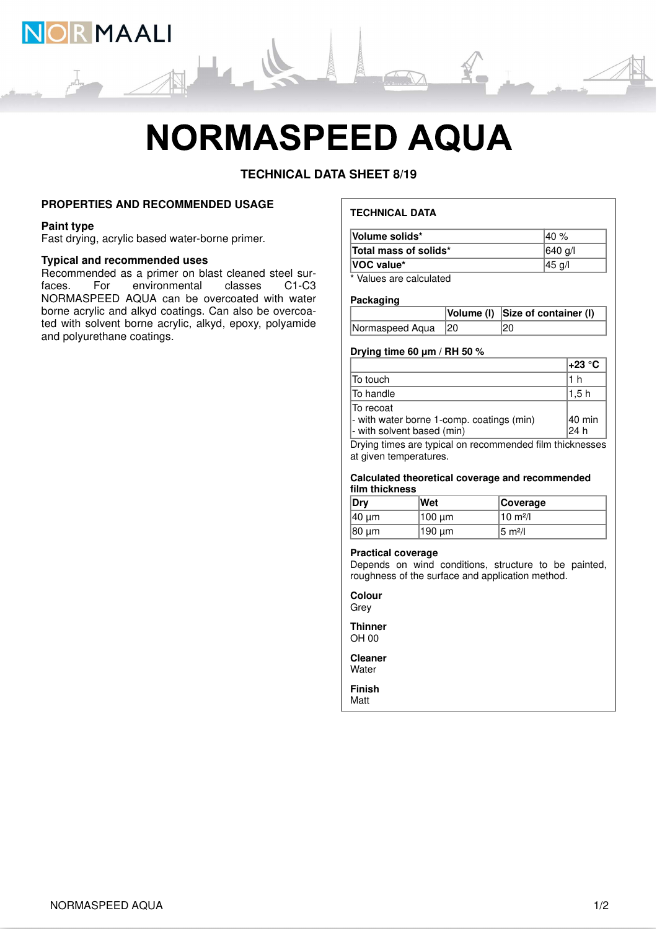

# **NORMASPEED AQUA**

**TECHNICAL DATA SHEET 8/19**

### **PROPERTIES AND RECOMMENDED USAGE**

#### **Paint type**

Fast drying, acrylic based water-borne primer.

#### **Typical and recommended uses**

Recommended as a primer on blast cleaned steel sur-<br>faces. For environmental classes C1-C3 environmental NORMASPEED AQUA can be overcoated with water borne acrylic and alkyd coatings. Can also be overcoated with solvent borne acrylic, alkyd, epoxy, polyamide and polyurethane coatings.

## **TECHNICAL DATA**

| Volume solids*        | l40 %   |
|-----------------------|---------|
| Total mass of solids* | 640 g/l |
| <b>VOC value*</b>     | 45 g/l  |
| $\ddotsc$             |         |

Values are calculated

#### **Packaging**

|                    | Volume (I) Size of container (I) |
|--------------------|----------------------------------|
| Normaspeed Aqua 20 | 20                               |

## **Drying time 60 μm / RH 50 %**

|                                                                                       | l+23 °C        |
|---------------------------------------------------------------------------------------|----------------|
| To touch                                                                              | 1 h            |
| lTo handle                                                                            | 1.5 h          |
| lTo recoat<br>- with water borne 1-comp. coatings (min)<br>- with solvent based (min) | 40 min<br>24 h |

Drying times are typical on recommended film thicknesses at given temperatures.

#### **Calculated theoretical coverage and recommended film thickness**

| ∣Dry   | ∣Wet   | <b>Coverage</b>      |
|--------|--------|----------------------|
| 140 um | 100 um | 10 $m^2/l$           |
| 180 um | 190 um | 15 m <sup>2</sup> /l |

#### **Practical coverage**

Depends on wind conditions, structure to be painted, roughness of the surface and application method.

**Colour Grev** 

**Thinner** OH 00

**Cleaner Water** 

**Finish** Matt